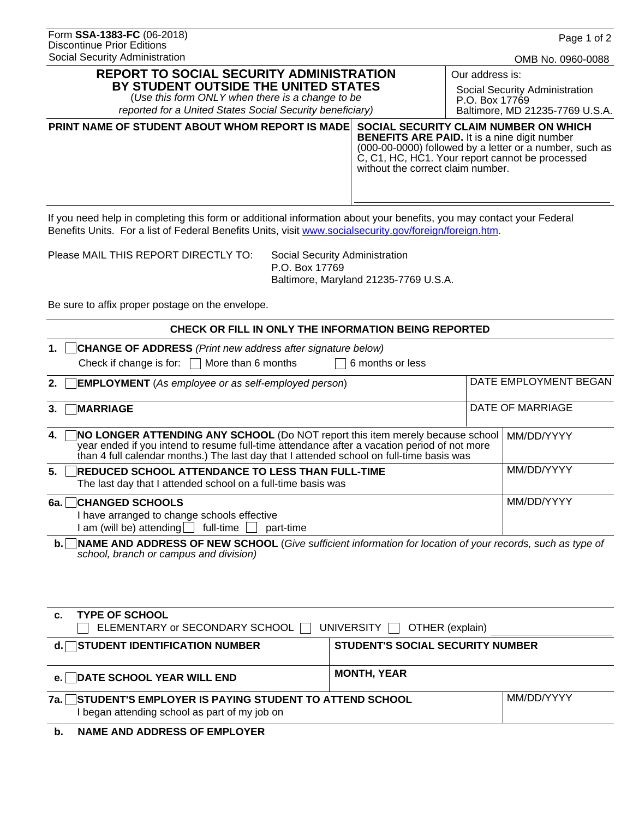| Form SSA-1383-FC (06-2018)        |
|-----------------------------------|
| <b>Discontinue Prior Editions</b> |
| Social Security Administration    |

| <b>REPORT TO SOCIAL SECURITY ADMINISTRATION</b> |
|-------------------------------------------------|
| BY STUDENT OUTSIDE THE UNITED STATES            |

(*Use this form ONLY when there is a change to be reported for a United States Social Security beneficiary)* Our address is: Social Security Administration P.O. Box 17769 Baltimore, MD 21235-7769 U.S.A.

# **PRINT NAME OF STUDENT ABOUT WHOM REPORT IS MADE SOCIAL SECURITY CLAIM NUMBER ON WHICH BENEFITS ARE PAID.** It is a nine digit number (000-00-0000) followed by a letter or a number, such as C, C1, HC, HC1. Your report cannot be processed without the correct claim number.

If you need help in completing this form or additional information about your benefits, you may contact your Federal Benefits Units. For a list of Federal Benefits Units, visit <www.socialsecurity.gov/foreign/foreign.htm>.

Please MAIL THIS REPORT DIRECTLY TO: Social Security Administration

 P.O. Box 17769 Baltimore, Maryland 21235-7769 U.S.A.

Be sure to affix proper postage on the envelope.

| CHECK OR FILL IN ONLY THE INFORMATION BEING REPORTED                                                                                                                                                                                                                           |                  |                       |
|--------------------------------------------------------------------------------------------------------------------------------------------------------------------------------------------------------------------------------------------------------------------------------|------------------|-----------------------|
| <b>CHANGE OF ADDRESS</b> (Print new address after signature below)<br>1.<br>Check if change is for: $\Box$ More than 6 months<br>6 months or less                                                                                                                              |                  |                       |
| <b>EMPLOYMENT</b> (As employee or as self-employed person)<br>2.                                                                                                                                                                                                               |                  | DATE EMPLOYMENT BEGAN |
| <b>MARRIAGE</b><br>3.                                                                                                                                                                                                                                                          | DATE OF MARRIAGE |                       |
| NO LONGER ATTENDING ANY SCHOOL (Do NOT report this item merely because school<br>4.<br>year ended if you intend to resume full-time attendance after a vacation period of not more<br>than 4 full calendar months.) The last day that I attended school on full-time basis was | MM/DD/YYYY       |                       |
| 5.<br><b>REDUCED SCHOOL ATTENDANCE TO LESS THAN FULL-TIME</b><br>The last day that I attended school on a full-time basis was                                                                                                                                                  |                  | MM/DD/YYYY            |
| <b>CHANGED SCHOOLS</b><br>6a. l<br>I have arranged to change schools effective<br>am (will be) attending $\vert$ full-time<br>part-time                                                                                                                                        |                  | MM/DD/YYYY            |
| <b>b.</b> NAME AND ADDRESS OF NEW SCHOOL (Give sufficient information for location of your records, such as type of                                                                                                                                                            |                  |                       |

**b.** NAME AND ADDRESS OF NEW SCHOOL (*Give sufficient information for location of your records, such as type of school, branch or campus and division)*

| d. □ STUDENT IDENTIFICATION NUMBER<br><b>STUDENT'S SOCIAL SECURITY NUMBER</b>                              |  |  |
|------------------------------------------------------------------------------------------------------------|--|--|
| <b>MONTH, YEAR</b>                                                                                         |  |  |
| 7a. STUDENT'S EMPLOYER IS PAYING STUDENT TO ATTEND SCHOOL<br>I began attending school as part of my job on |  |  |
|                                                                                                            |  |  |

 **b. NAME AND ADDRESS OF EMPLOYER**

OMB No. 0960-0088